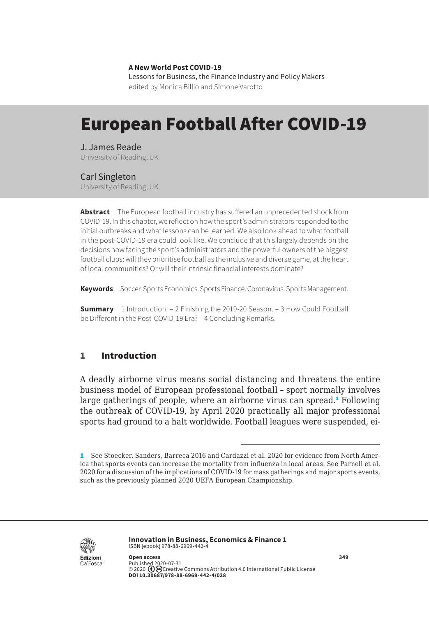**A New World Post COVID-19** Lessons for Business, the Finance Industry and Policy Makers edited by Monica Billio and Simone Varotto

# European Football After COVID-19

J. James Reade University of Reading, UK

## Carl Singleton

University of Reading, UK

**Abstract** The European football industry has suffered an unprecedented shock from COVID-19. In this chapter, we reflect on how the sport's administrators responded to the initial outbreaks and what lessons can be learned. We also look ahead to what football in the post-COVID-19 era could look like. We conclude that this largely depends on the decisions now facing the sport's administrators and the powerful owners of the biggest football clubs: will they prioritise football as the inclusive and diverse game, at the heart of local communities? Or will their intrinsic financial interests dominate?

**Keywords** Soccer. Sports Economics. Sports Finance. Coronavirus. Sports Management.

**Summary** [1 Introduction.](#page-1-0) – [2 Finishing the 2019-20 Season](#page-2-0). – 3 How Could Football [be Different in the Post-COVID-19 Era?](#page-4-0) – [4 Concluding Remarks.](#page-6-0)

# 1 Introduction

A deadly airborne virus means social distancing and threatens the entire business model of European professional football – sport normally involves large gatherings of people, where an airborne virus can spread.<sup>1</sup> Following the outbreak of COVID-19, by April 2020 practically all major professional sports had ground to a halt worldwide. Football leagues were suspended, ei-



**Innovation in Business, Economics & Finance 1** ISBN [ebook] 978-88-6969-442-4

<sup>1</sup> See Stoecker, Sanders, Barreca 2016 and Cardazzi et al. 2020 for evidence from North America that sports events can increase the mortality from influenza in local areas. See Parnell et al. 2020 for a discussion of the implications of COVID-19 for mass gatherings and major sports events, such as the previously planned 2020 UEFA European Championship.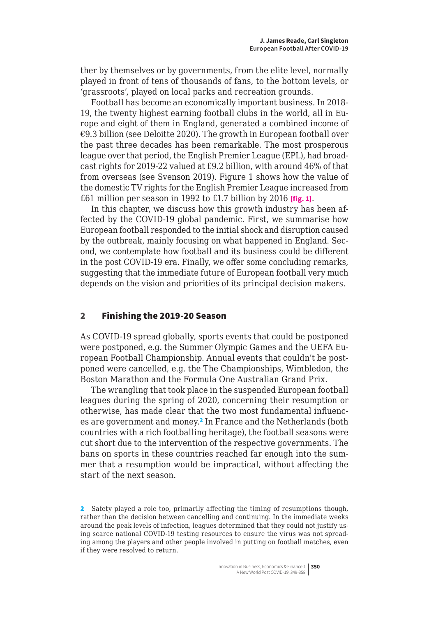<span id="page-1-0"></span>ther by themselves or by governments, from the elite level, normally played in front of tens of thousands of fans, to the bottom levels, or 'grassroots', played on local parks and recreation grounds.

Football has become an economically important business. In 2018- 19, the twenty highest earning football clubs in the world, all in Europe and eight of them in England, generated a combined income of €9.3 billion (see Deloitte 2020). The growth in European football over the past three decades has been remarkable. The most prosperous league over that period, the English Premier League (EPL), had broadcast rights for 2019-22 valued at £9.2 billion, with around 46% of that from overseas (see Svenson 2019). Figure 1 shows how the value of the domestic TV rights for the English Premier League increased from £61 million per season in 1992 to £1.7 billion by 2016 **[fig. 1]**.

In this chapter, we discuss how this growth industry has been affected by the COVID-19 global pandemic. First, we summarise how European football responded to the initial shock and disruption caused by the outbreak, mainly focusing on what happened in England. Second, we contemplate how football and its business could be different in the post COVID-19 era. Finally, we offer some concluding remarks, suggesting that the immediate future of European football very much depends on the vision and priorities of its principal decision makers.

#### 2 Finishing the 2019-20 Season

As COVID-19 spread globally, sports events that could be postponed were postponed, e.g. the Summer Olympic Games and the UEFA European Football Championship. Annual events that couldn't be postponed were cancelled, e.g. the The Championships, Wimbledon, the Boston Marathon and the Formula One Australian Grand Prix.

The wrangling that took place in the suspended European football leagues during the spring of 2020, concerning their resumption or otherwise, has made clear that the two most fundamental influences are government and money.<sup>2</sup> In France and the Netherlands (both countries with a rich footballing heritage), the football seasons were cut short due to the intervention of the respective governments. The bans on sports in these countries reached far enough into the summer that a resumption would be impractical, without affecting the start of the next season.

<sup>2</sup> Safety played a role too, primarily affecting the timing of resumptions though, rather than the decision between cancelling and continuing. In the immediate weeks around the peak levels of infection, leagues determined that they could not justify using scarce national COVID-19 testing resources to ensure the virus was not spreading among the players and other people involved in putting on football matches, even if they were resolved to return.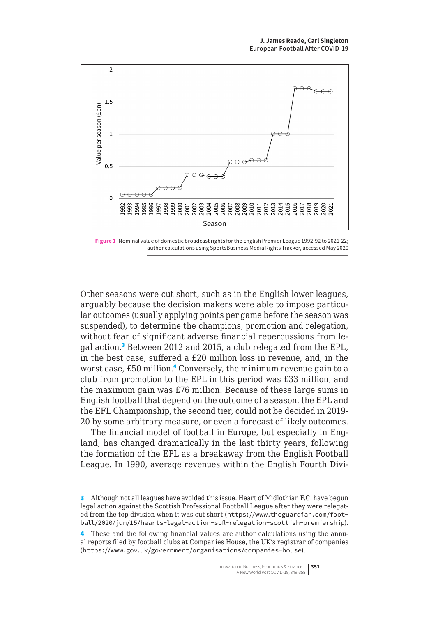<span id="page-2-0"></span>

**Figure 1** Nominal value of domestic broadcast rights for the English Premier League 1992-92 to 2021-22; author calculations using SportsBusiness Media Rights Tracker, accessed May 2020

Other seasons were cut short, such as in the English lower leagues, arguably because the decision makers were able to impose particular outcomes (usually applying points per game before the season was suspended), to determine the champions, promotion and relegation, without fear of significant adverse financial repercussions from legal action.<sup>3</sup> Between 2012 and 2015, a club relegated from the EPL, in the best case, suffered a £20 million loss in revenue, and, in the worst case, £50 million.<sup>4</sup> Conversely, the minimum revenue gain to a club from promotion to the EPL in this period was £33 million, and the maximum gain was £76 million. Because of these large sums in English football that depend on the outcome of a season, the EPL and the EFL Championship, the second tier, could not be decided in 2019- 20 by some arbitrary measure, or even a forecast of likely outcomes.

The financial model of football in Europe, but especially in England, has changed dramatically in the last thirty years, following the formation of the EPL as a breakaway from the English Football League. In 1990, average revenues within the English Fourth Divi-

<sup>3</sup> Although not all leagues have avoided this issue. Heart of Midlothian F.C. have begun legal action against the Scottish Professional Football League after they were relegated from the top division when it was cut short ([https://www.theguardian.com/foot](https://www.theguardian.com/football/2020/jun/15/hearts-legal-action-spfl-relegation-scottish-premiership)[ball/2020/jun/15/hearts-legal-action-spfl-relegation-scottish-premiership](https://www.theguardian.com/football/2020/jun/15/hearts-legal-action-spfl-relegation-scottish-premiership)).

<sup>4</sup> These and the following financial values are author calculations using the annual reports filed by football clubs at Companies House, the UK's registrar of companies (<https://www.gov.uk/government/organisations/companies-house>).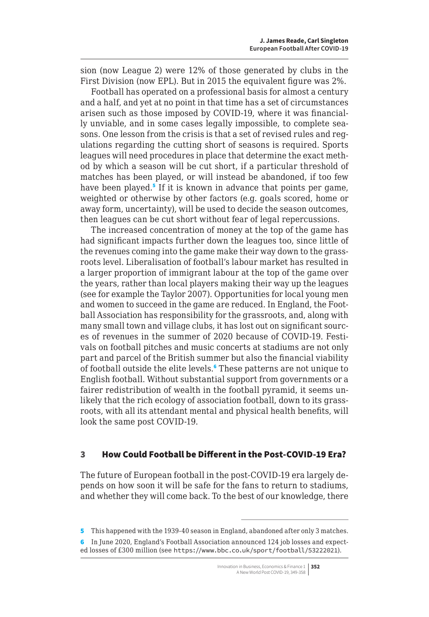sion (now League 2) were 12% of those generated by clubs in the First Division (now EPL). But in 2015 the equivalent figure was 2%.

Football has operated on a professional basis for almost a century and a half, and yet at no point in that time has a set of circumstances arisen such as those imposed by COVID-19, where it was financially unviable, and in some cases legally impossible, to complete seasons. One lesson from the crisis is that a set of revised rules and regulations regarding the cutting short of seasons is required. Sports leagues will need procedures in place that determine the exact method by which a season will be cut short, if a particular threshold of matches has been played, or will instead be abandoned, if too few have been played.<sup>5</sup> If it is known in advance that points per game, weighted or otherwise by other factors (e.g. goals scored, home or away form, uncertainty), will be used to decide the season outcomes, then leagues can be cut short without fear of legal repercussions.

The increased concentration of money at the top of the game has had significant impacts further down the leagues too, since little of the revenues coming into the game make their way down to the grassroots level. Liberalisation of football's labour market has resulted in a larger proportion of immigrant labour at the top of the game over the years, rather than local players making their way up the leagues (see for example the Taylor 2007). Opportunities for local young men and women to succeed in the game are reduced. In England, the Football Association has responsibility for the grassroots, and, along with many small town and village clubs, it has lost out on significant sources of revenues in the summer of 2020 because of COVID-19. Festivals on football pitches and music concerts at stadiums are not only part and parcel of the British summer but also the financial viability of football outside the elite levels.<sup>6</sup> These patterns are not unique to English football. Without substantial support from governments or a fairer redistribution of wealth in the football pyramid, it seems unlikely that the rich ecology of association football, down to its grassroots, with all its attendant mental and physical health benefits, will look the same post COVID-19.

### 3 How Could Football be Different in the Post-COVID-19 Era?

The future of European football in the post-COVID-19 era largely depends on how soon it will be safe for the fans to return to stadiums, and whether they will come back. To the best of our knowledge, there

5 This happened with the 1939-40 season in England, abandoned after only 3 matches.

<sup>6</sup> In June 2020, England's Football Association announced 124 job losses and expected losses of £300 million (see <https://www.bbc.co.uk/sport/football/53222021>).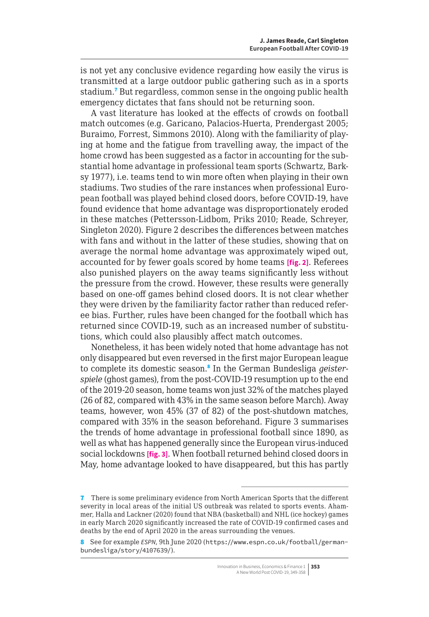<span id="page-4-0"></span>is not yet any conclusive evidence regarding how easily the virus is transmitted at a large outdoor public gathering such as in a sports stadium.<sup>7</sup> But regardless, common sense in the ongoing public health emergency dictates that fans should not be returning soon.

A vast literature has looked at the effects of crowds on football match outcomes (e.g. Garicano, Palacios-Huerta, Prendergast 2005; Buraimo, Forrest, Simmons 2010). Along with the familiarity of playing at home and the fatigue from travelling away, the impact of the home crowd has been suggested as a factor in accounting for the substantial home advantage in professional team sports (Schwartz, Barksy 1977), i.e. teams tend to win more often when playing in their own stadiums. Two studies of the rare instances when professional European football was played behind closed doors, before COVID-19, have found evidence that home advantage was disproportionately eroded in these matches (Pettersson-Lidbom, Priks 2010; Reade, Schreyer, Singleton 2020). Figure 2 describes the differences between matches with fans and without in the latter of these studies, showing that on average the normal home advantage was approximately wiped out, accounted for by fewer goals scored by home teams **[fig. 2]**. Referees also punished players on the away teams significantly less without the pressure from the crowd. However, these results were generally based on one-off games behind closed doors. It is not clear whether they were driven by the familiarity factor rather than reduced referee bias. Further, rules have been changed for the football which has returned since COVID-19, such as an increased number of substitutions, which could also plausibly affect match outcomes.

Nonetheless, it has been widely noted that home advantage has not only disappeared but even reversed in the first major European league to complete its domestic season.<sup>8</sup> In the German Bundesliga *geisterspiele* (ghost games), from the post-COVID-19 resumption up to the end of the 2019-20 season, home teams won just 32% of the matches played (26 of 82, compared with 43% in the same season before March). Away teams, however, won 45% (37 of 82) of the post-shutdown matches, compared with 35% in the season beforehand. Figure 3 summarises the trends of home advantage in professional football since 1890, as well as what has happened generally since the European virus-induced social lockdowns **[fig. 3]**. When football returned behind closed doors in May, home advantage looked to have disappeared, but this has partly

<sup>7</sup> There is some preliminary evidence from North American Sports that the different severity in local areas of the initial US outbreak was related to sports events. Ahammer, Halla and Lackner (2020) found that NBA (basketball) and NHL (ice hockey) games in early March 2020 significantly increased the rate of COVID-19 confirmed cases and deaths by the end of April 2020 in the areas surrounding the venues.

<sup>8</sup> See for example *ESPN*, 9th June 2020 ([https://www.espn.co.uk/football/german](https://www.espn.co.uk/football/german-bundesliga/story/4107639/)[bundesliga/story/4107639/](https://www.espn.co.uk/football/german-bundesliga/story/4107639/)).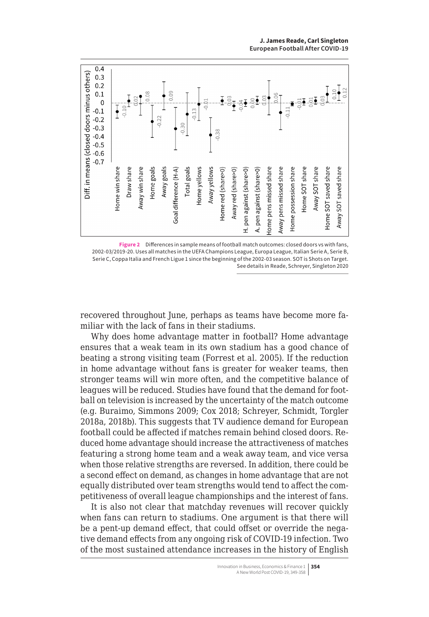

**Figure 2** Differences in sample means of football match outcomes: closed doors vs with fans, 2002-03/2019-20. Uses all matches in the UEFA Champions League, Europa League, Italian Serie A, Serie B, Serie C, Coppa Italia and French Ligue 1 since the beginning of the 2002-03 season. SOT is Shots on Target. See details in Reade, Schreyer, Singleton 2020

recovered throughout June, perhaps as teams have become more familiar with the lack of fans in their stadiums.

Why does home advantage matter in football? Home advantage ensures that a weak team in its own stadium has a good chance of beating a strong visiting team (Forrest et al. 2005). If the reduction in home advantage without fans is greater for weaker teams, then stronger teams will win more often, and the competitive balance of leagues will be reduced. Studies have found that the demand for football on television is increased by the uncertainty of the match outcome (e.g. Buraimo, Simmons 2009; Cox 2018; Schreyer, Schmidt, Torgler 2018a, 2018b). This suggests that TV audience demand for European football could be affected if matches remain behind closed doors. Reduced home advantage should increase the attractiveness of matches featuring a strong home team and a weak away team, and vice versa when those relative strengths are reversed. In addition, there could be a second effect on demand, as changes in home advantage that are not equally distributed over team strengths would tend to affect the competitiveness of overall league championships and the interest of fans.

It is also not clear that matchday revenues will recover quickly when fans can return to stadiums. One argument is that there will be a pent-up demand effect, that could offset or override the negative demand effects from any ongoing risk of COVID-19 infection. Two of the most sustained attendance increases in the history of English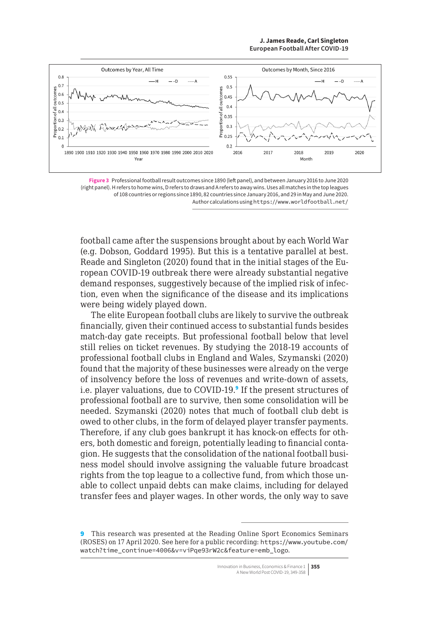#### **J. James Reade, Carl Singleton European Football After COVID-19**

<span id="page-6-0"></span>

**Figure 3** Professional football result outcomes since 1890 (left panel), and between January 2016 to June 2020 (right panel). H refers to home wins, D refers to draws and A refers to away wins. Uses all matches in the top leagues of 108 countries or regions since 1890, 82 countries since January 2016, and 29 in May and June 2020. Author calculations using <https://www.worldfootball.net/>

football came after the suspensions brought about by each World War (e.g. Dobson, Goddard 1995). But this is a tentative parallel at best. Reade and Singleton (2020) found that in the initial stages of the European COVID-19 outbreak there were already substantial negative demand responses, suggestively because of the implied risk of infection, even when the significance of the disease and its implications were being widely played down.

The elite European football clubs are likely to survive the outbreak financially, given their continued access to substantial funds besides match-day gate receipts. But professional football below that level still relies on ticket revenues. By studying the 2018-19 accounts of professional football clubs in England and Wales, Szymanski (2020) found that the majority of these businesses were already on the verge of insolvency before the loss of revenues and write-down of assets, i.e. player valuations, due to COVID-19.<sup>9</sup> If the present structures of professional football are to survive, then some consolidation will be needed. Szymanski (2020) notes that much of football club debt is owed to other clubs, in the form of delayed player transfer payments. Therefore, if any club goes bankrupt it has knock-on effects for others, both domestic and foreign, potentially leading to financial contagion. He suggests that the consolidation of the national football business model should involve assigning the valuable future broadcast rights from the top league to a collective fund, from which those unable to collect unpaid debts can make claims, including for delayed transfer fees and player wages. In other words, the only way to save

9 This research was presented at the Reading Online Sport Economics Seminars (ROSES) on 17 April 2020. See here for a public recording: [https://www.youtube.com/](https://www.youtube.com/watch?time_continue=4006&v=viPqe93rW2c&feature=emb_logo) [watch?time\\_continue=4006&v=viPqe93rW2c&feature=emb\\_logo](https://www.youtube.com/watch?time_continue=4006&v=viPqe93rW2c&feature=emb_logo).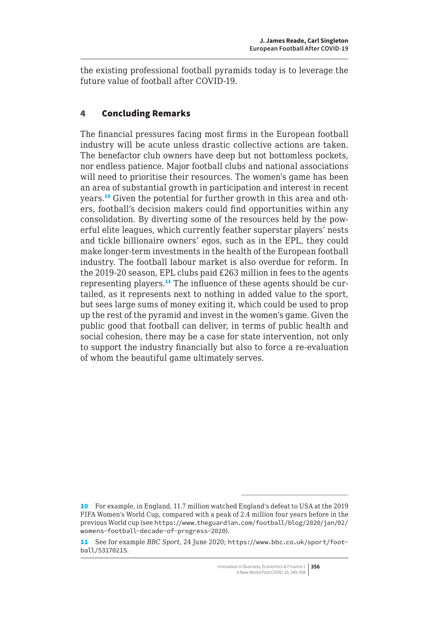the existing professional football pyramids today is to leverage the future value of football after COVID-19.

# 4 Concluding Remarks

The financial pressures facing most firms in the European football industry will be acute unless drastic collective actions are taken. The benefactor club owners have deep but not bottomless pockets, nor endless patience. Major football clubs and national associations will need to prioritise their resources. The women's game has been an area of substantial growth in participation and interest in recent years.10 Given the potential for further growth in this area and others, football's decision makers could find opportunities within any consolidation. By diverting some of the resources held by the powerful elite leagues, which currently feather superstar players' nests and tickle billionaire owners' egos, such as in the EPL, they could make longer-term investments in the health of the European football industry. The football labour market is also overdue for reform. In the 2019-20 season, EPL clubs paid £263 million in fees to the agents representing players.11 The influence of these agents should be curtailed, as it represents next to nothing in added value to the sport, but sees large sums of money exiting it, which could be used to prop up the rest of the pyramid and invest in the women's game. Given the public good that football can deliver, in terms of public health and social cohesion, there may be a case for state intervention, not only to support the industry financially but also to force a re-evaluation of whom the beautiful game ultimately serves.

<sup>10</sup> For example, in England, 11.7 million watched England's defeat to USA at the 2019 FIFA Women's World Cup, compared with a peak of 2.4 million four years before in the previous World cup (see [https://www.theguardian.com/football/blog/2020/jan/02/](https://www.theguardian.com/football/blog/2020/jan/02/womens-football-decade-of-progress-2020) [womens-football-decade-of-progress-2020](https://www.theguardian.com/football/blog/2020/jan/02/womens-football-decade-of-progress-2020)).

<sup>11</sup> See for example *BBC Sport*, 24 June 2020; [https://www.bbc.co.uk/sport/foot](https://www.bbc.co.uk/sport/football/53170215)[ball/53170215](https://www.bbc.co.uk/sport/football/53170215).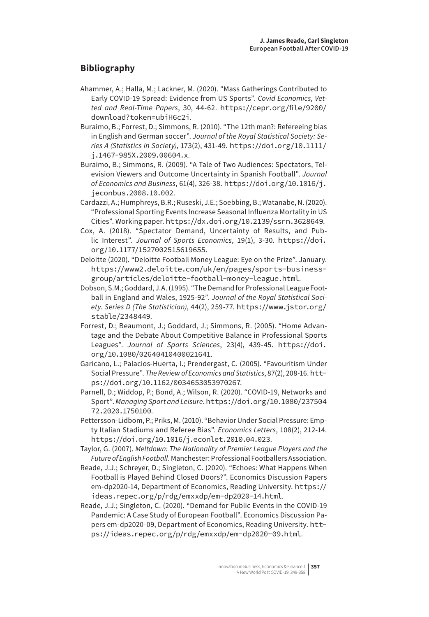# **Bibliography**

- Ahammer, A.; Halla, M.; Lackner, M. (2020). "Mass Gatherings Contributed to Early COVID-19 Spread: Evidence from US Sports". *Covid Economics, Vetted and Real-Time Papers*, 30, 44-62. [https://cepr.org/file/9200/](https://cepr.org/file/9200/download?token=ubiH6c2i) [download?token=ubiH6c2i](https://cepr.org/file/9200/download?token=ubiH6c2i).
- Buraimo, B.; Forrest, D.; Simmons, R. (2010). "The 12th man?: Refereeing bias in English and German soccer". *Journal of the Royal Statistical Society: Series A (Statistics in Society)*, 173(2), 431-49. [https://doi.org/10.1111/](https://doi.org/10.1111/j.1467-985X.2009.00604.x) [j.1467-985X.2009.00604.x](https://doi.org/10.1111/j.1467-985X.2009.00604.x).
- Buraimo, B.; Simmons, R. (2009). "A Tale of Two Audiences: Spectators, Television Viewers and Outcome Uncertainty in Spanish Football". *Journal of Economics and Business*, 61(4), 326-38. [https://doi.org/10.1016/j.](https://doi.org/10.1016/j.jeconbus.2008.10.002) [jeconbus.2008.10.002](https://doi.org/10.1016/j.jeconbus.2008.10.002).
- Cardazzi, A.; Humphreys, B.R.; Ruseski, J.E.; Soebbing, B.; Watanabe, N. (2020). "Professional Sporting Events Increase Seasonal Influenza Mortality in US Cities". Working paper. <https://dx.doi.org/10.2139/ssrn.3628649>.
- Cox, A. (2018). "Spectator Demand, Uncertainty of Results, and Public Interest". *Journal of Sports Economics*, 19(1), 3-30. [https://doi.](https://doi.org/10.1177/1527002515619655) [org/10.1177/1527002515619655](https://doi.org/10.1177/1527002515619655).
- Deloitte (2020). "Deloitte Football Money League: Eye on the Prize". January. [https://www2.deloitte.com/uk/en/pages/sports-business](https://www2.deloitte.com/uk/en/pages/sports-business-group/articles/deloitte-football-money-league.html)[group/articles/deloitte-football-money-league.html](https://www2.deloitte.com/uk/en/pages/sports-business-group/articles/deloitte-football-money-league.html).
- Dobson, S.M.; Goddard, J.A. (1995). "The Demand for Professional League Football in England and Wales, 1925-92". *Journal of the Royal Statistical Society. Series D (The Statistician)*, 44(2), 259-77. [https://www.jstor.org/](https://www.jstor.org/stable/2348449) [stable/2348449](https://www.jstor.org/stable/2348449).
- Forrest, D.; Beaumont, J.; Goddard, J.; Simmons, R. (2005). "Home Advantage and the Debate About Competitive Balance in Professional Sports Leagues". *Journal of Sports Sciences*, 23(4), 439-45. [https://doi.](https://doi.org/10.1080/02640410400021641) [org/10.1080/02640410400021641](https://doi.org/10.1080/02640410400021641).
- Garicano, L.; Palacios-Huerta, I.; Prendergast, C. (2005). "Favouritism Under Social Pressure". *The Review of Economics and Statistics*, 87(2), 208-16. [htt](https://doi.org/10.1162/0034653053970267)[ps://doi.org/10.1162/0034653053970267](https://doi.org/10.1162/0034653053970267).
- Parnell, D.; Widdop, P.; Bond, A.; Wilson, R. (2020). "COVID-19, Networks and Sport". *Managing Sport and Leisure*. [https://doi.org/10.1080/237504](https://doi.org/10.1080/23750472.2020.1750100) [72.2020.1750100](https://doi.org/10.1080/23750472.2020.1750100).
- Pettersson-Lidbom, P.; Priks, M. (2010). "Behavior Under Social Pressure: Empty Italian Stadiums and Referee Bias". *Economics Letters*, 108(2), 212-14. <https://doi.org/10.1016/j.econlet.2010.04.023>.
- Taylor, G. (2007). *Meltdown: The Nationality of Premier League Players and the Future of English Football*. Manchester: Professional Footballers Association.
- Reade, J.J.; Schreyer, D.; Singleton, C. (2020). "Echoes: What Happens When Football is Played Behind Closed Doors?". Economics Discussion Papers em-dp2020-14, Department of Economics, Reading University. [https://](https://ideas.repec.org/p/rdg/emxxdp/em-dp2020-14.html) [ideas.repec.org/p/rdg/emxxdp/em-dp2020-14.html](https://ideas.repec.org/p/rdg/emxxdp/em-dp2020-14.html).
- Reade, J.J.; Singleton, C. (2020). "Demand for Public Events in the COVID-19 Pandemic: A Case Study of European Football". Economics Discussion Papers em-dp2020-09, Department of Economics, Reading University. [htt](https://ideas.repec.org/p/rdg/emxxdp/em-dp2020-09.html)[ps://ideas.repec.org/p/rdg/emxxdp/em-dp2020-09.html](https://ideas.repec.org/p/rdg/emxxdp/em-dp2020-09.html).